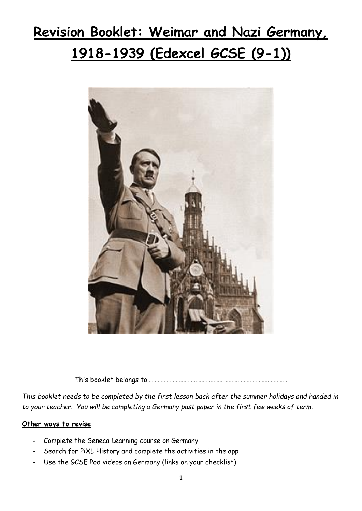# **Revision Booklet: Weimar and Nazi Germany, 1918-1939 (Edexcel GCSE (9-1))**



This booklet belongs to…………………………………………………………………………………

*This booklet needs to be completed by the first lesson back after the summer holidays and handed in to your teacher. You will be completing a Germany past paper in the first few weeks of term.* 

#### **Other ways to revise**

- Complete the Seneca Learning course on Germany
- Search for PiXL History and complete the activities in the app
- Use the GCSE Pod videos on Germany (links on your checklist)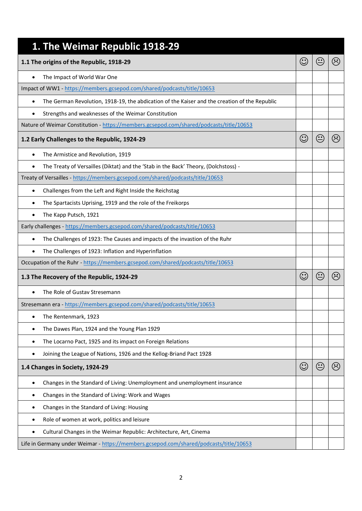| 1. The Weimar Republic 1918-29                                                                             |         |  |  |  |
|------------------------------------------------------------------------------------------------------------|---------|--|--|--|
| 1.1 The origins of the Republic, 1918-29                                                                   |         |  |  |  |
| The Impact of World War One                                                                                |         |  |  |  |
| Impact of WW1 - https://members.gcsepod.com/shared/podcasts/title/10653                                    |         |  |  |  |
| The German Revolution, 1918-19, the abdication of the Kaiser and the creation of the Republic<br>$\bullet$ |         |  |  |  |
| Strengths and weaknesses of the Weimar Constitution                                                        |         |  |  |  |
| Nature of Weimar Constitution - https://members.gcsepod.com/shared/podcasts/title/10653                    |         |  |  |  |
| 1.2 Early Challenges to the Republic, 1924-29                                                              |         |  |  |  |
| The Armistice and Revolution, 1919<br>$\bullet$                                                            |         |  |  |  |
| The Treaty of Versailles (Diktat) and the 'Stab in the Back' Theory, (Dolchstoss) -                        |         |  |  |  |
| Treaty of Versailles - https://members.gcsepod.com/shared/podcasts/title/10653                             |         |  |  |  |
| Challenges from the Left and Right Inside the Reichstag<br>$\bullet$                                       |         |  |  |  |
| The Spartacists Uprising, 1919 and the role of the Freikorps<br>٠                                          |         |  |  |  |
| The Kapp Putsch, 1921                                                                                      |         |  |  |  |
| Early challenges - https://members.gcsepod.com/shared/podcasts/title/10653                                 |         |  |  |  |
| The Challenges of 1923: The Causes and impacts of the invastion of the Ruhr<br>$\bullet$                   |         |  |  |  |
| The Challenges of 1923: Inflation and Hyperinflation                                                       |         |  |  |  |
| Occupation of the Ruhr - https://members.gcsepod.com/shared/podcasts/title/10653                           |         |  |  |  |
| 1.3 The Recovery of the Republic, 1924-29                                                                  |         |  |  |  |
| The Role of Gustav Stresemann                                                                              |         |  |  |  |
| Stresemann era - https://members.gcsepod.com/shared/podcasts/title/10653                                   |         |  |  |  |
| The Rentenmark, 1923                                                                                       |         |  |  |  |
| The Dawes Plan, 1924 and the Young Plan 1929<br>$\bullet$                                                  |         |  |  |  |
| The Locarno Pact, 1925 and its impact on Foreign Relations<br>٠                                            |         |  |  |  |
| Joining the League of Nations, 1926 and the Kellog-Briand Pact 1928                                        |         |  |  |  |
| 1.4 Changes in Society, 1924-29                                                                            | $\odot$ |  |  |  |
| Changes in the Standard of Living: Unemployment and unemployment insurance                                 |         |  |  |  |
| Changes in the Standard of Living: Work and Wages<br>٠                                                     |         |  |  |  |
| Changes in the Standard of Living: Housing<br>٠                                                            |         |  |  |  |
| Role of women at work, politics and leisure                                                                |         |  |  |  |
| Cultural Changes in the Weimar Republic: Architecture, Art, Cinema                                         |         |  |  |  |
| Life in Germany under Weimar - https://members.gcsepod.com/shared/podcasts/title/10653                     |         |  |  |  |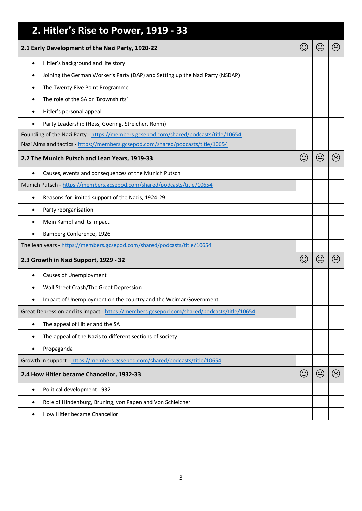| 2. Hitler's Rise to Power, 1919 - 33                                                      |  |  |                                |  |
|-------------------------------------------------------------------------------------------|--|--|--------------------------------|--|
| 2.1 Early Development of the Nazi Party, 1920-22                                          |  |  |                                |  |
| Hitler's background and life story<br>$\bullet$                                           |  |  |                                |  |
| Joining the German Worker's Party (DAP) and Setting up the Nazi Party (NSDAP)<br>٠        |  |  |                                |  |
| The Twenty-Five Point Programme<br>٠                                                      |  |  |                                |  |
| The role of the SA or 'Brownshirts'<br>$\bullet$                                          |  |  |                                |  |
| Hitler's personal appeal<br>٠                                                             |  |  |                                |  |
| Party Leadership (Hess, Goering, Streicher, Rohm)                                         |  |  |                                |  |
| Founding of the Nazi Party - https://members.gcsepod.com/shared/podcasts/title/10654      |  |  |                                |  |
| Nazi Aims and tactics - https://members.gcsepod.com/shared/podcasts/title/10654           |  |  |                                |  |
| 2.2 The Munich Putsch and Lean Years, 1919-33                                             |  |  |                                |  |
| Causes, events and consequences of the Munich Putsch<br>٠                                 |  |  |                                |  |
| Munich Putsch - https://members.gcsepod.com/shared/podcasts/title/10654                   |  |  |                                |  |
| Reasons for limited support of the Nazis, 1924-29<br>$\bullet$                            |  |  |                                |  |
| Party reorganisation<br>٠                                                                 |  |  |                                |  |
| Mein Kampf and its impact<br>٠                                                            |  |  |                                |  |
| Bamberg Conference, 1926                                                                  |  |  |                                |  |
| The lean years - https://members.gcsepod.com/shared/podcasts/title/10654                  |  |  |                                |  |
| 2.3 Growth in Nazi Support, 1929 - 32                                                     |  |  | $\langle \ddot{\cdot} \rangle$ |  |
| <b>Causes of Unemployment</b><br>٠                                                        |  |  |                                |  |
| Wall Street Crash/The Great Depression                                                    |  |  |                                |  |
| Impact of Unemployment on the country and the Weimar Government<br>٠                      |  |  |                                |  |
| Great Depression and its impact - https://members.gcsepod.com/shared/podcasts/title/10654 |  |  |                                |  |
| The appeal of Hitler and the SA<br>٠                                                      |  |  |                                |  |
| The appeal of the Nazis to different sections of society<br>6                             |  |  |                                |  |
| Propaganda<br>٠                                                                           |  |  |                                |  |
| Growth in support - https://members.gcsepod.com/shared/podcasts/title/10654               |  |  |                                |  |
| 2.4 How Hitler became Chancellor, 1932-33                                                 |  |  | ☺                              |  |
| Political development 1932<br>$\bullet$                                                   |  |  |                                |  |
| Role of Hindenburg, Bruning, von Papen and Von Schleicher<br>٠                            |  |  |                                |  |
| How Hitler became Chancellor<br>٠                                                         |  |  |                                |  |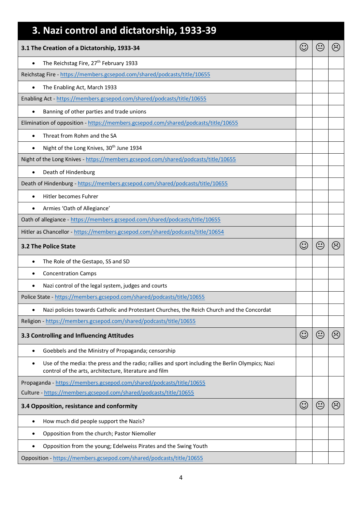| 3. Nazi control and dictatorship, 1933-39                                                                                                                       |         |                                                    |                |  |
|-----------------------------------------------------------------------------------------------------------------------------------------------------------------|---------|----------------------------------------------------|----------------|--|
| 3.1 The Creation of a Dictatorship, 1933-34                                                                                                                     |         |                                                    |                |  |
| The Reichstag Fire, 27 <sup>th</sup> February 1933<br>$\bullet$                                                                                                 |         |                                                    |                |  |
| Reichstag Fire - https://members.gcsepod.com/shared/podcasts/title/10655                                                                                        |         |                                                    |                |  |
| The Enabling Act, March 1933<br>$\bullet$                                                                                                                       |         |                                                    |                |  |
| Enabling Act - https://members.gcsepod.com/shared/podcasts/title/10655                                                                                          |         |                                                    |                |  |
| Banning of other parties and trade unions                                                                                                                       |         |                                                    |                |  |
| Elimination of opposition - https://members.gcsepod.com/shared/podcasts/title/10655                                                                             |         |                                                    |                |  |
| Threat from Rohm and the SA<br>$\bullet$                                                                                                                        |         |                                                    |                |  |
| Night of the Long Knives, 30 <sup>th</sup> June 1934<br>$\bullet$                                                                                               |         |                                                    |                |  |
| Night of the Long Knives - https://members.gcsepod.com/shared/podcasts/title/10655                                                                              |         |                                                    |                |  |
| Death of Hindenburg<br>$\bullet$                                                                                                                                |         |                                                    |                |  |
| Death of Hindenburg - https://members.gcsepod.com/shared/podcasts/title/10655                                                                                   |         |                                                    |                |  |
| Hitler becomes Fuhrer<br>$\bullet$                                                                                                                              |         |                                                    |                |  |
| Armies 'Oath of Allegiance'<br>$\bullet$                                                                                                                        |         |                                                    |                |  |
| Oath of allegiance - https://members.gcsepod.com/shared/podcasts/title/10655                                                                                    |         |                                                    |                |  |
| Hitler as Chancellor - https://members.gcsepod.com/shared/podcasts/title/10654                                                                                  |         |                                                    |                |  |
| <b>3.2 The Police State</b>                                                                                                                                     |         |                                                    |                |  |
| The Role of the Gestapo, SS and SD<br>٠                                                                                                                         |         |                                                    |                |  |
| <b>Concentration Camps</b>                                                                                                                                      |         |                                                    |                |  |
| Nazi control of the legal system, judges and courts                                                                                                             |         |                                                    |                |  |
| Police State - https://members.gcsepod.com/shared/podcasts/title/10655                                                                                          |         |                                                    |                |  |
| Nazi policies towards Catholic and Protestant Churches, the Reich Church and the Concordat<br>$\bullet$                                                         |         |                                                    |                |  |
| Religion - https://members.gcsepod.com/shared/podcasts/title/10655                                                                                              |         |                                                    |                |  |
| 3.3 Controlling and Influencing Attitudes                                                                                                                       | $\odot$ | $\mathbin{\widehat{\mathbf{\cdot}}\mathbf{\cdot}}$ | $\odot$        |  |
| Goebbels and the Ministry of Propaganda; censorship<br>٠                                                                                                        |         |                                                    |                |  |
| Use of the media: the press and the radio; rallies and sport including the Berlin Olympics; Nazi<br>٠<br>control of the arts, architecture, literature and film |         |                                                    |                |  |
| Propaganda - https://members.gcsepod.com/shared/podcasts/title/10655                                                                                            |         |                                                    |                |  |
| Culture - https://members.gcsepod.com/shared/podcasts/title/10655                                                                                               |         |                                                    |                |  |
| 3.4 Opposition, resistance and conformity                                                                                                                       |         |                                                    | $\ddot{\circ}$ |  |
| How much did people support the Nazis?<br>٠                                                                                                                     |         |                                                    |                |  |
| Opposition from the church; Pastor Niemoller<br>٠                                                                                                               |         |                                                    |                |  |
| Opposition from the young; Edelweiss Pirates and the Swing Youth                                                                                                |         |                                                    |                |  |
| Opposition - https://members.gcsepod.com/shared/podcasts/title/10655                                                                                            |         |                                                    |                |  |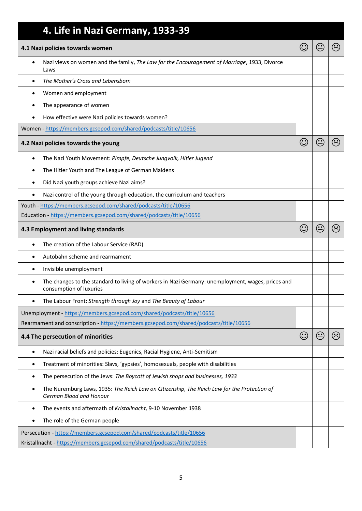| 4. Life in Nazi Germany, 1933-39                                                                                             |         |   |                     |
|------------------------------------------------------------------------------------------------------------------------------|---------|---|---------------------|
| 4.1 Nazi policies towards women                                                                                              |         |   |                     |
| Nazi views on women and the family, The Law for the Encouragement of Marriage, 1933, Divorce<br>$\bullet$<br>Laws            |         |   |                     |
| The Mother's Cross and Lebensborn<br>$\bullet$                                                                               |         |   |                     |
| Women and employment<br>$\bullet$                                                                                            |         |   |                     |
| The appearance of women<br>$\bullet$                                                                                         |         |   |                     |
| How effective were Nazi policies towards women?                                                                              |         |   |                     |
| Women - https://members.gcsepod.com/shared/podcasts/title/10656                                                              |         |   |                     |
| 4.2 Nazi policies towards the young                                                                                          | $\odot$ |   | $\hat{\mathcal{C}}$ |
| The Nazi Youth Movement: Pimpfe, Deutsche Jungvolk, Hitler Jugend<br>$\bullet$                                               |         |   |                     |
| The Hitler Youth and The League of German Maidens<br>٠                                                                       |         |   |                     |
| Did Nazi youth groups achieve Nazi aims?<br>$\bullet$                                                                        |         |   |                     |
| Nazi control of the young through education, the curriculum and teachers<br>$\bullet$                                        |         |   |                     |
| Youth - https://members.gcsepod.com/shared/podcasts/title/10656                                                              |         |   |                     |
| Education - https://members.gcsepod.com/shared/podcasts/title/10656                                                          |         |   |                     |
| 4.3 Employment and living standards                                                                                          |         |   |                     |
| The creation of the Labour Service (RAD)<br>$\bullet$                                                                        |         |   |                     |
| Autobahn scheme and rearmament<br>$\bullet$                                                                                  |         |   |                     |
| Invisible unemployment<br>٠                                                                                                  |         |   |                     |
| The changes to the standard to living of workers in Nazi Germany: unemployment, wages, prices and<br>consumption of luxuries |         |   |                     |
| The Labour Front: Strength through Joy and The Beauty of Labour                                                              |         |   |                     |
| Unemployment - https://members.gcsepod.com/shared/podcasts/title/10656                                                       |         |   |                     |
| Rearmament and conscription - https://members.gcsepod.com/shared/podcasts/title/10656                                        |         |   |                     |
| 4.4 The persecution of minorities                                                                                            | $\odot$ | € | $\odot$             |
| Nazi racial beliefs and policies: Eugenics, Racial Hygiene, Anti-Semitism<br>$\bullet$                                       |         |   |                     |
| Treatment of minorities: Slavs, 'gypsies', homosexuals, people with disabilities<br>$\bullet$                                |         |   |                     |
| The persecution of the Jews: The Boycott of Jewish shops and businesses, 1933<br>٠                                           |         |   |                     |
| The Nuremburg Laws, 1935: The Reich Law on Citizenship, The Reich Law for the Protection of<br>٠<br>German Blood and Honour  |         |   |                     |
| The events and aftermath of Kristallnacht, 9-10 November 1938<br>$\bullet$                                                   |         |   |                     |
| The role of the German people<br>$\bullet$                                                                                   |         |   |                     |
| Persecution - https://members.gcsepod.com/shared/podcasts/title/10656                                                        |         |   |                     |
| Kristallnacht - https://members.gcsepod.com/shared/podcasts/title/10656                                                      |         |   |                     |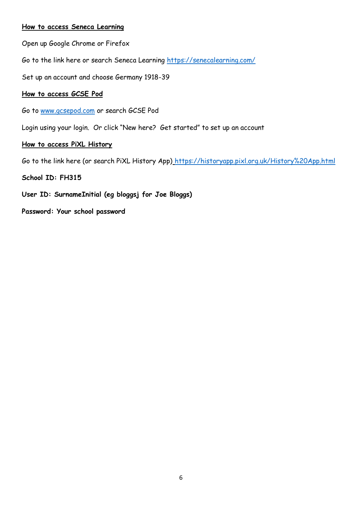#### **How to access Seneca Learning**

Open up Google Chrome or Firefox

Go to the link here or search Seneca Learning<https://senecalearning.com/>

Set up an account and choose Germany 1918-39

#### **How to access GCSE Pod**

Go to [www.gcsepod.com](http://www.gcsepod.com/) or search GCSE Pod

Login using your login. Or click "New here? Get started" to set up an account

#### **How to access PiXL History**

Go to the link here (or search PiXL History App)<https://historyapp.pixl.org.uk/History%20App.html>

#### **School ID: FH315**

**User ID: SurnameInitial (eg bloggsj for Joe Bloggs)** 

**Password: Your school password**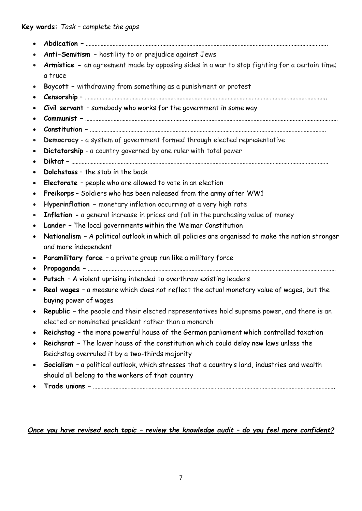- **Abdication –** ……………………………………………………………………………………………………………………………………………..
- **Anti-Semitism -** hostility to or prejudice against Jews
- **Armistice** an agreement made by opposing sides in a war to stop fighting for a certain time; a truce
- **Boycott –** withdrawing from something as a punishment or protest
- **Censorship** ……………………………………………………………………………………………………………………………………………..
- **Civil servant –** somebody who works for the government in some way
- **Communist –** ……………………………………………………………………………………………………………………………………………………
- **Constitution –** ………………………………………………………………………………………………………………………………………….
- **Democracy** a system of government formed through elected representative
- **Dictatorship** a country governed by one ruler with total power
- **Diktat** ………………………………………………………………………………………………………………………………………………………
- **Dolchstoss** the stab in the back
- **Electorate –** people who are allowed to vote in an election
- **Freikorps** Soldiers who has been released from the army after WW1
- **Hyperinflation -** monetary inflation occurring at a very high rate
- **Inflation -** a general increase in prices and fall in the purchasing value of money
- **Lander –** The local governments within the Weimar Constitution
- **Nationalism –** A political outlook in which all policies are organised to make the nation stronger and more independent
- **Paramilitary force –** a private group run like a military force
- **Propaganda –** …………………………………………………………………………………………………………………………………………………
- **Putsch –** A violent uprising intended to overthrow existing leaders
- **Real wages –** a measure which does not reflect the actual monetary value of wages, but the buying power of wages
- **Republic –** the people and their elected representatives hold supreme power, and there is an elected or nominated president rather than a monarch
- **Reichstag**  the more powerful house of the German parliament which controlled taxation
- **Reichsrat –** The lower house of the constitution which could delay new laws unless the Reichstag overruled it by a two-thirds majority
- **Socialism –** a political outlook, which stresses that a country's land, industries and wealth should all belong to the workers of that country
- **Trade unions –** ……………………………………………………………………………………………………………………………………………..

# *Once you have revised each topic – review the knowledge audit – do you feel more confident?*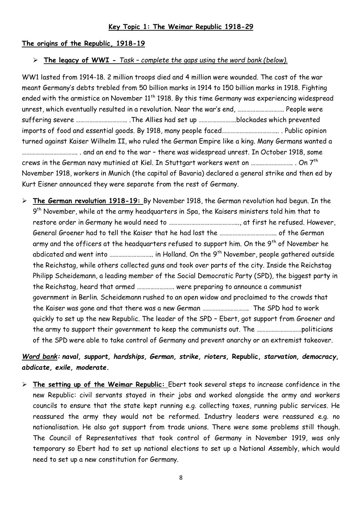#### **Key Topic 1: The Weimar Republic 1918-29**

#### **The origins of the Republic, 1918-19**

#### **The legacy of WWI -** *Task – complete the gaps using the word bank (below).*

WW1 lasted from 1914-18. 2 million troops died and 4 million were wounded. The cost of the war meant Germany's debts trebled from 50 billion marks in 1914 to 150 billion marks in 1918. Fighting ended with the armistice on November 11<sup>th</sup> 1918. By this time Germany was experiencing widespread unrest, which eventually resulted in a revolution. Near the war's end, …………………………. People were suffering severe ……………………………. .The Allies had set up …………………….blockades which prevented imports of food and essential goods. By 1918, many people faced……………………………….. . Public opinion turned against Kaiser Wilhelm II, who ruled the German Empire like a king. Many Germans wanted a ………………………………. . and an end to the war – there was widespread unrest. In October 1918, some crews in the German navy mutinied at Kiel. In Stuttgart workers went on  $\ldots$   $\ldots$   $\ldots$   $\ldots$   $\ldots$  . On  $7<sup>th</sup>$ November 1918, workers in Munich (the capital of Bavaria) declared a general strike and then ed by Kurt Eisner announced they were separate from the rest of Germany.

 **The German revolution 1918-19:** By November 1918, the German revolution had begun. In the 9<sup>th</sup> November, while at the army headquarters in Spa, the Kaisers ministers told him that to restore order in Germany he would need to ……………………………………….., at first he refused. However, General Groener had to tell the Kaiser that he had lost the ……………………………….. of the German army and the officers at the headquarters refused to support him. On the  $9<sup>th</sup>$  of November he abdicated and went into ……………………….. in Holland. On the 9th November, people gathered outside the Reichstag, while others collected guns and took over parts of the city. Inside the Reichstag Philipp Scheidemann, a leading member of the Social Democratic Party (SPD), the biggest party in the Reichstag, heard that armed ……………………. were preparing to announce a communist government in Berlin. Scheidemann rushed to an open widow and proclaimed to the crowds that the Kaiser was gone and that there was a new German …………………………. The SPD had to work quickly to set up the new Republic. The leader of the SPD – Ebert, got support from Groener and the army to support their government to keep the communists out. The …………………………politicians of the SPD were able to take control of Germany and prevent anarchy or an extremist takeover.

# *Word bank: naval, support, hardships, German, strike, rioters,* **Republic,** *starvation, democracy, abdicate, exile, moderate.*

 **The setting up of the Weimar Republic:** Ebert took several steps to increase confidence in the new Republic: civil servants stayed in their jobs and worked alongside the army and workers councils to ensure that the state kept running e.g. collecting taxes, running public services. He reassured the army they would not be reformed. Industry leaders were reassured e.g. no nationalisation. He also got support from trade unions. There were some problems still though. The Council of Representatives that took control of Germany in November 1919, was only temporary so Ebert had to set up national elections to set up a National Assembly, which would need to set up a new constitution for Germany.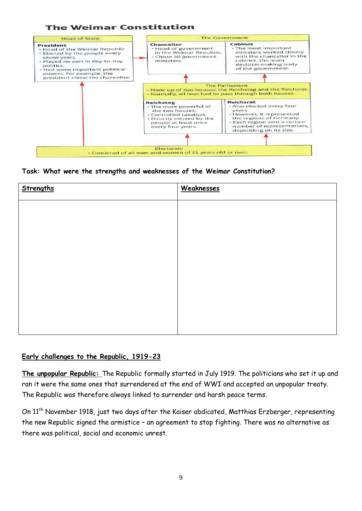



#### **Task: What were the strengths and weaknesses of the Weimar Constitution?**

| Strengths | Weaknesses |
|-----------|------------|
|           |            |
|           |            |
|           |            |
|           |            |
|           |            |
|           |            |
|           |            |
|           |            |

#### **Early challenges to the Republic, 1919-23**

**The unpopular Republic:** The Republic formally started in July 1919. The politicians who set it up and ran it were the same ones that surrendered at the end of WWI and accepted an unpopular treaty. The Republic was therefore always linked to surrender and harsh peace terms.

On 11th November 1918, just two days after the Kaiser abdicated, Matthias Erzberger, representing the new Republic signed the armistice – an agreement to stop fighting. There was no alternative as there was political, social and economic unrest.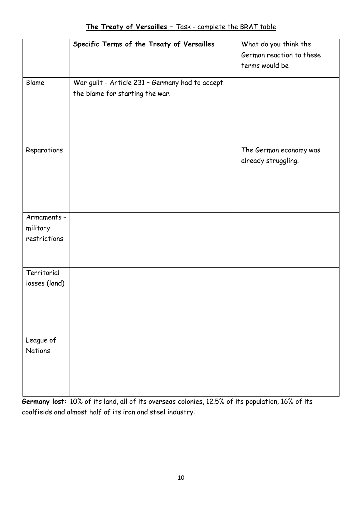|               | Specific Terms of the Treaty of Versailles      | What do you think the    |
|---------------|-------------------------------------------------|--------------------------|
|               |                                                 |                          |
|               |                                                 | German reaction to these |
|               |                                                 | terms would be           |
| Blame         | War guilt - Article 231 - Germany had to accept |                          |
|               | the blame for starting the war.                 |                          |
|               |                                                 |                          |
|               |                                                 |                          |
|               |                                                 |                          |
|               |                                                 |                          |
|               |                                                 |                          |
| Reparations   |                                                 | The German economy was   |
|               |                                                 | already struggling.      |
|               |                                                 |                          |
|               |                                                 |                          |
|               |                                                 |                          |
|               |                                                 |                          |
|               |                                                 |                          |
| Armaments -   |                                                 |                          |
| military      |                                                 |                          |
| restrictions  |                                                 |                          |
|               |                                                 |                          |
|               |                                                 |                          |
| Territorial   |                                                 |                          |
| losses (land) |                                                 |                          |
|               |                                                 |                          |
|               |                                                 |                          |
|               |                                                 |                          |
|               |                                                 |                          |
|               |                                                 |                          |
| League of     |                                                 |                          |
| Nations       |                                                 |                          |
|               |                                                 |                          |
|               |                                                 |                          |
|               |                                                 |                          |
|               |                                                 |                          |

**Germany lost:** 10% of its land, all of its overseas colonies, 12.5% of its population, 16% of its coalfields and almost half of its iron and steel industry.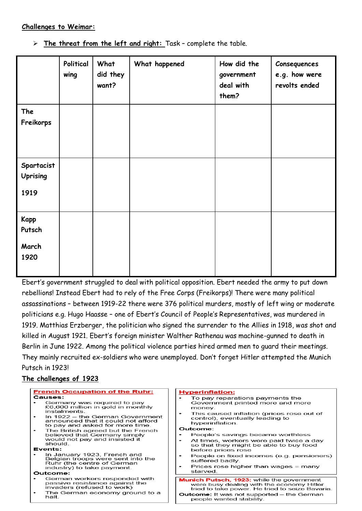#### **Challenges to Weimar:**

**The threat from the left and right:** Task – complete the table.

|                                        | Political<br>wing | What<br>did they<br>want? | What happened | How did the<br>government<br>deal with<br>them? | Consequences<br>e.g. how were<br>revolts ended |
|----------------------------------------|-------------------|---------------------------|---------------|-------------------------------------------------|------------------------------------------------|
| The<br>Freikorps                       |                   |                           |               |                                                 |                                                |
| Spartacist<br><b>Uprising</b><br>1919  |                   |                           |               |                                                 |                                                |
| <b>Kapp</b><br>Putsch<br>March<br>1920 |                   |                           |               |                                                 |                                                |

Ebert's government struggled to deal with political opposition. Ebert needed the army to put down rebellions! Instead Ebert had to rely of the Free Corps (Freikorps)! There were many political assassinations – between 1919-22 there were 376 political murders, mostly of left wing or moderate politicians e.g. Hugo Haasse – one of Ebert's Council of People's Representatives, was murdered in 1919. Matthias Erzberger, the politician who signed the surrender to the Allies in 1918, was shot and killed in August 1921. Ebert's foreign minister Walther Rathenau was machine-gunned to death in Berlin in June 1922. Among the political violence parties hired armed men to guard their meetings. They mainly recruited ex-soldiers who were unemployed. Don't forget Hitler attempted the Munich Putsch in 1923!

# **The challenges of 1923**

| <b>French Occupation of the Ruhr:</b>                                                                                              | <b>Hyperinflation:</b>                                                                                                                                                     |
|------------------------------------------------------------------------------------------------------------------------------------|----------------------------------------------------------------------------------------------------------------------------------------------------------------------------|
| Causes:<br>Germany was required to pay<br>£6,600 million in gold in monthly<br>instalments<br>In 1922 – the German Government<br>۰ | To pay reparations payments the<br>Government printed more and more<br>money.<br>This caused inflation (prices rose out of<br>$\bullet$<br>control), eventually leading to |
| announced that it could not afford<br>to pay and asked for more time.                                                              | hyperinflation.                                                                                                                                                            |
| The British agreed but the French<br>٠                                                                                             | Outcome:                                                                                                                                                                   |
| believed that Germany simply                                                                                                       | People's savings became worthless                                                                                                                                          |
| would not pay and insisted it<br>should.                                                                                           | At times, workers were paid twice a day<br>so that they might be able to buy food                                                                                          |
| Events:                                                                                                                            | before prices rose                                                                                                                                                         |
| In January 1923, French and<br>Belgian troops were sent into the<br>Ruhr (the centre of German                                     | People on fixed incomes (e.g. pensioners)<br>suffered badly.                                                                                                               |
| industry) to take payment.                                                                                                         | Prices rose higher than wages = many<br>starved.                                                                                                                           |
| Outcome:                                                                                                                           |                                                                                                                                                                            |
| German workers responded with<br>passive resistance against the<br>invaders (refused to work)                                      | <b>Munich Putsch, 1923: while the government</b><br>were busy dealing with the economy Hitler<br>tried to take power. He tried to seize Bavaria.                           |
| The German economy ground to a<br>halt.                                                                                            | <b>Outcome:</b> It was not supported – the German<br>people wanted stability.                                                                                              |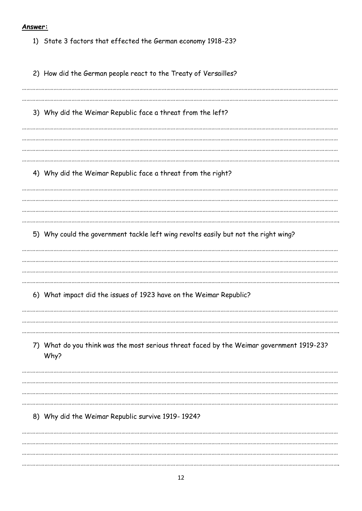#### Answer:

1) State 3 factors that effected the German economy 1918-23?

2) How did the German people react to the Treaty of Versailles? 3) Why did the Weimar Republic face a threat from the left? 4) Why did the Weimar Republic face a threat from the right? 5) Why could the government tackle left wing revolts easily but not the right wing? 6) What impact did the issues of 1923 have on the Weimar Republic? 7) What do you think was the most serious threat faced by the Weimar government 1919-23? Why? 8) Why did the Weimar Republic survive 1919-1924?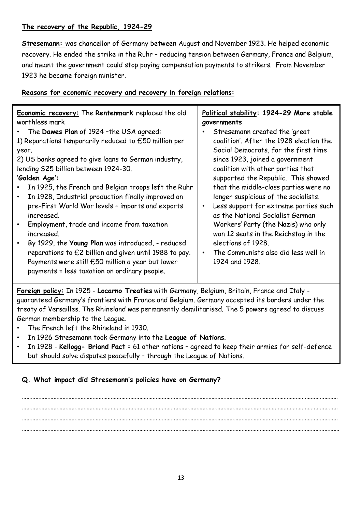# **The recovery of the Republic, 1924-29**

**Stresemann:** was chancellor of Germany between August and November 1923. He helped economic recovery. He ended the strike in the Ruhr – reducing tension between Germany, France and Belgium, and meant the government could stop paying compensation payments to strikers. From November 1923 he became foreign minister.

# **Reasons for economic recovery and recovery in foreign relations:**

| <b>Economic recovery:</b> The Rentenmark replaced the old | Political stability: 1924-29 More stable |
|-----------------------------------------------------------|------------------------------------------|
| worthless mark                                            | governments                              |
| The Dawes Plan of 1924-the USA agreed:                    | Stresemann created the 'great            |
| 1) Reparations temporarily reduced to £50 million per     | coalition'. After the 1928 election the  |
| year.                                                     | Social Democrats, for the first time     |
| 2) US banks agreed to give loans to German industry,      | since 1923, joined a government          |
| lending \$25 billion between 1924-30.                     | coalition with other parties that        |
| 'Golden Age':                                             | supported the Republic. This showed      |
| In 1925, the French and Belgian troops left the Ruhr      | that the middle-class parties were no    |
| In 1928, Industrial production finally improved on        | longer suspicious of the socialists.     |
| pre-First World War levels - imports and exports          | Less support for extreme parties such    |
| increased.                                                | $\bullet$                                |
| Employment, trade and income from taxation                | as the National Socialist German         |
| $\bullet$                                                 | Workers' Party (the Nazis) who only      |
| increased.                                                | won 12 seats in the Reichstag in the     |
| By 1929, the Young Plan was introduced, - reduced         | elections of 1928.                       |
| $\bullet$                                                 | The Communists also did less well in     |
| reparations to £2 billion and given until 1988 to pay.    | $\bullet$                                |
| Payments were still £50 million a year but lower          | 1924 and 1928.                           |
| payments = less taxation on ordinary people.              |                                          |

**Foreign policy:** In 1925 - **Locarno Treaties** with Germany, Belgium, Britain, France and Italy guaranteed Germany's frontiers with France and Belgium. Germany accepted its borders under the treaty of Versailles. The Rhineland was permanently demilitarised. The 5 powers agreed to discuss German membership to the League.

- The French left the Rhineland in 1930.
- In 1926 Stresemann took Germany into the **League of Nations**.
- In 1928 **Kellogg- Briand Pact** = 61 other nations agreed to keep their armies for self-defence but should solve disputes peacefully – through the League of Nations.

# **Q. What impact did Stresemann's policies have on Germany?**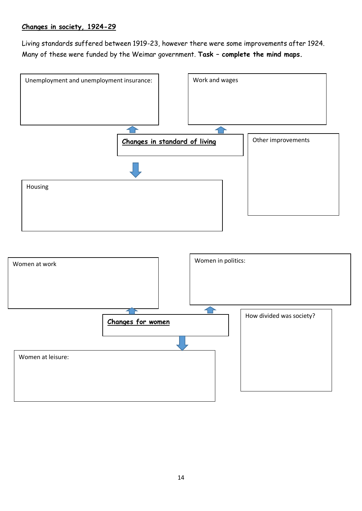## **Changes in society, 1924-29**

Living standards suffered between 1919-23, however there were some improvements after 1924. Many of these were funded by the Weimar government. **Task – complete the mind maps.**



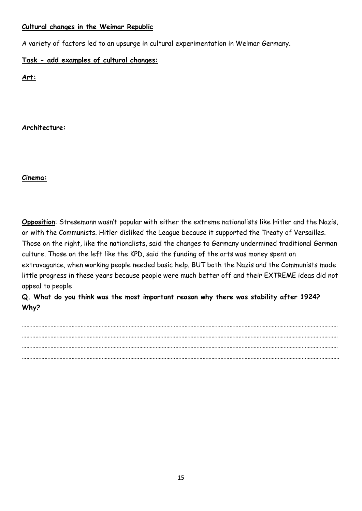#### **Cultural changes in the Weimar Republic**

A variety of factors led to an upsurge in cultural experimentation in Weimar Germany.

**Task - add examples of cultural changes:** 

**Art:** 

# **Architecture:**

#### **Cinema:**

**Opposition**: Stresemann wasn't popular with either the extreme nationalists like Hitler and the Nazis, or with the Communists. Hitler disliked the League because it supported the Treaty of Versailles. Those on the right, like the nationalists, said the changes to Germany undermined traditional German culture. Those on the left like the KPD, said the funding of the arts was money spent on extravagance, when working people needed basic help. BUT both the Nazis and the Communists made little progress in these years because people were much better off and their EXTREME ideas did not appeal to people

**Q. What do you think was the most important reason why there was stability after 1924? Why?**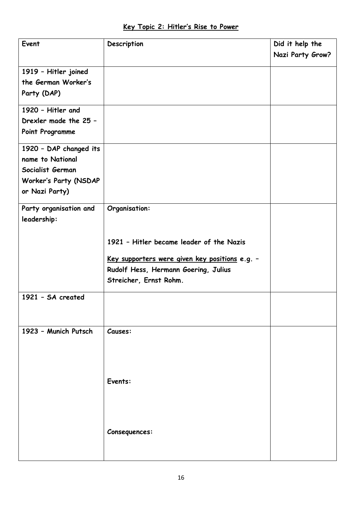| Event                                       | Description                                    | Did it help the  |
|---------------------------------------------|------------------------------------------------|------------------|
|                                             |                                                | Nazi Party Grow? |
|                                             |                                                |                  |
| 1919 - Hitler joined<br>the German Worker's |                                                |                  |
|                                             |                                                |                  |
| Party (DAP)                                 |                                                |                  |
| 1920 - Hitler and                           |                                                |                  |
| Drexler made the 25 -                       |                                                |                  |
| Point Programme                             |                                                |                  |
| 1920 - DAP changed its                      |                                                |                  |
| name to National                            |                                                |                  |
| Socialist German                            |                                                |                  |
| Worker's Party (NSDAP                       |                                                |                  |
| or Nazi Party)                              |                                                |                  |
| Party organisation and                      | Organisation:                                  |                  |
| leadership:                                 |                                                |                  |
|                                             |                                                |                  |
|                                             | 1921 - Hitler became leader of the Nazis       |                  |
|                                             |                                                |                  |
|                                             | Key supporters were given key positions e.g. - |                  |
|                                             | Rudolf Hess, Hermann Goering, Julius           |                  |
|                                             | Streicher, Ernst Rohm.                         |                  |
| 1921 - SA created                           |                                                |                  |
|                                             |                                                |                  |
|                                             |                                                |                  |
| 1923 - Munich Putsch                        | Causes:                                        |                  |
|                                             |                                                |                  |
|                                             |                                                |                  |
|                                             |                                                |                  |
|                                             |                                                |                  |
|                                             | Events:                                        |                  |
|                                             |                                                |                  |
|                                             |                                                |                  |
|                                             |                                                |                  |
|                                             | Consequences:                                  |                  |
|                                             |                                                |                  |
|                                             |                                                |                  |
|                                             |                                                |                  |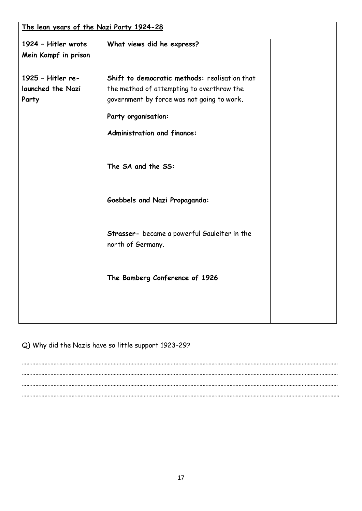| The lean years of the Nazi Party 1924-28 |                                                                   |  |  |
|------------------------------------------|-------------------------------------------------------------------|--|--|
| 1924 - Hitler wrote                      | What views did he express?                                        |  |  |
| Mein Kampf in prison                     |                                                                   |  |  |
|                                          |                                                                   |  |  |
| 1925 - Hitler re-                        | Shift to democratic methods: realisation that                     |  |  |
| launched the Nazi                        | the method of attempting to overthrow the                         |  |  |
| Party                                    | government by force was not going to work.                        |  |  |
|                                          | Party organisation:                                               |  |  |
|                                          | Administration and finance:                                       |  |  |
|                                          | The SA and the SS:                                                |  |  |
|                                          | <b>Goebbels and Nazi Propaganda:</b>                              |  |  |
|                                          | Strasser- became a powerful Gauleiter in the<br>north of Germany. |  |  |
|                                          | The Bamberg Conference of 1926                                    |  |  |
|                                          |                                                                   |  |  |

Q) Why did the Nazis have so little support 1923-29?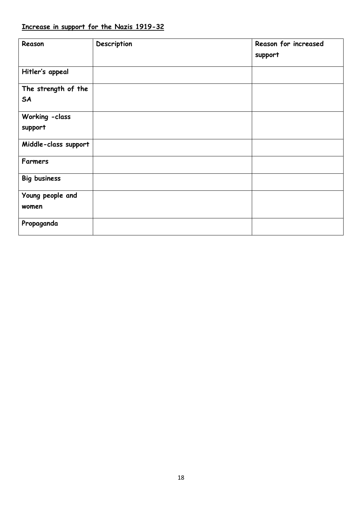| Reason                           | Description | Reason for increased<br>support |
|----------------------------------|-------------|---------------------------------|
| Hitler's appeal                  |             |                                 |
| The strength of the<br><b>SA</b> |             |                                 |
| Working - class<br>support       |             |                                 |
| Middle-class support             |             |                                 |
| <b>Farmers</b>                   |             |                                 |
| <b>Big business</b>              |             |                                 |
| Young people and<br>women        |             |                                 |
| Propaganda                       |             |                                 |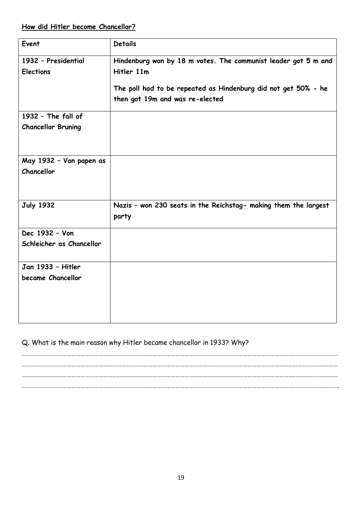# **How did Hitler become Chancellor?**

| Event                     | <b>Details</b>                                                  |
|---------------------------|-----------------------------------------------------------------|
| 1932 - Presidential       | Hindenburg won by 18 m votes. The communist leader got 5 m and  |
| <b>Elections</b>          | Hitler 11m                                                      |
|                           |                                                                 |
|                           | The poll had to be repeated as Hindenburg did not get 50% - he  |
|                           | then got 19m and was re-elected                                 |
| 1932 - The fall of        |                                                                 |
| <b>Chancellor Bruning</b> |                                                                 |
|                           |                                                                 |
|                           |                                                                 |
| May 1932 - Von papen as   |                                                                 |
| Chancellor                |                                                                 |
|                           |                                                                 |
|                           |                                                                 |
| <b>July 1932</b>          | Nazis - won 230 seats in the Reichstag- making them the largest |
|                           | party                                                           |
|                           |                                                                 |
| Dec 1932 - Von            |                                                                 |
| Schleicher as Chancellor  |                                                                 |
|                           |                                                                 |
| Jan 1933 - Hitler         |                                                                 |
| became Chancellor         |                                                                 |
|                           |                                                                 |
|                           |                                                                 |
|                           |                                                                 |
|                           |                                                                 |

# Q. What is the main reason why Hitler became chancellor in 1933? Why?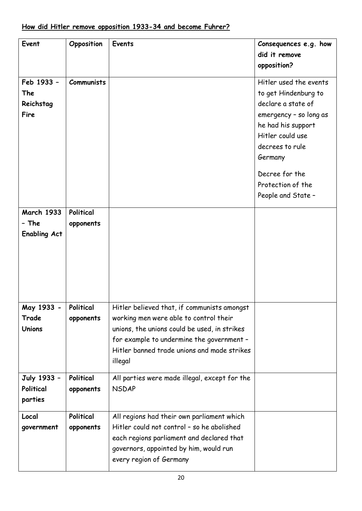| Event               | Opposition        | <b>Events</b>                                 | Consequences e.g. how  |
|---------------------|-------------------|-----------------------------------------------|------------------------|
|                     |                   |                                               | did it remove          |
|                     |                   |                                               | opposition?            |
|                     |                   |                                               |                        |
| Feb 1933 -          | <b>Communists</b> |                                               | Hitler used the events |
| The                 |                   |                                               | to get Hindenburg to   |
| Reichstag           |                   |                                               | declare a state of     |
| <b>Fire</b>         |                   |                                               | emergency - so long as |
|                     |                   |                                               | he had his support     |
|                     |                   |                                               | Hitler could use       |
|                     |                   |                                               | decrees to rule        |
|                     |                   |                                               | Germany                |
|                     |                   |                                               |                        |
|                     |                   |                                               | Decree for the         |
|                     |                   |                                               | Protection of the      |
|                     |                   |                                               | People and State -     |
|                     |                   |                                               |                        |
| <b>March 1933</b>   | Political         |                                               |                        |
| - The               | opponents         |                                               |                        |
| <b>Enabling Act</b> |                   |                                               |                        |
|                     |                   |                                               |                        |
|                     |                   |                                               |                        |
|                     |                   |                                               |                        |
|                     |                   |                                               |                        |
|                     |                   |                                               |                        |
|                     |                   |                                               |                        |
| May 1933 -          | Political         | Hitler believed that, if communists amongst   |                        |
| Trade               | opponents         | working men were able to control their        |                        |
| <b>Unions</b>       |                   | unions, the unions could be used, in strikes  |                        |
|                     |                   | for example to undermine the government -     |                        |
|                     |                   | Hitler banned trade unions and made strikes   |                        |
|                     |                   | illegal                                       |                        |
|                     |                   |                                               |                        |
| July 1933 -         | Political         | All parties were made illegal, except for the |                        |
| Political           | opponents         | <b>NSDAP</b>                                  |                        |
| parties             |                   |                                               |                        |
|                     |                   |                                               |                        |
| Local               | Political         | All regions had their own parliament which    |                        |
| government          | opponents         | Hitler could not control - so he abolished    |                        |
|                     |                   | each regions parliament and declared that     |                        |
|                     |                   | governors, appointed by him, would run        |                        |
|                     |                   | every region of Germany                       |                        |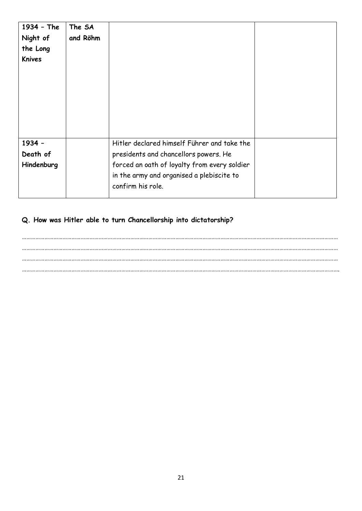| 1934 - The    | The SA   |                                              |  |
|---------------|----------|----------------------------------------------|--|
| Night of      | and Röhm |                                              |  |
| the Long      |          |                                              |  |
| <b>Knives</b> |          |                                              |  |
|               |          |                                              |  |
|               |          |                                              |  |
|               |          |                                              |  |
|               |          |                                              |  |
|               |          |                                              |  |
|               |          |                                              |  |
|               |          |                                              |  |
| 1934 -        |          | Hitler declared himself Führer and take the  |  |
| Death of      |          | presidents and chancellors powers. He        |  |
| Hindenburg    |          | forced an oath of loyalty from every soldier |  |
|               |          | in the army and organised a plebiscite to    |  |
|               |          | confirm his role.                            |  |
|               |          |                                              |  |

# **Q. How was Hitler able to turn Chancellorship into dictatorship?**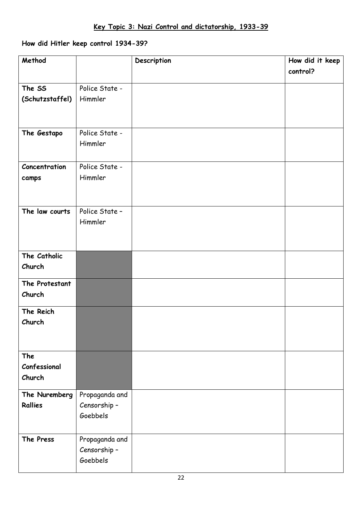# **How did Hitler keep control 1934-39?**

| Method              |                          | Description | How did it keep |
|---------------------|--------------------------|-------------|-----------------|
|                     |                          |             | control?        |
| The SS              | Police State -           |             |                 |
| (Schutzstaffel)     | Himmler                  |             |                 |
|                     |                          |             |                 |
|                     |                          |             |                 |
| The Gestapo         | Police State -           |             |                 |
|                     | Himmler                  |             |                 |
|                     |                          |             |                 |
| Concentration       | Police State -           |             |                 |
| camps               | Himmler                  |             |                 |
|                     |                          |             |                 |
| The law courts      | Police State -           |             |                 |
|                     | Himmler                  |             |                 |
|                     |                          |             |                 |
|                     |                          |             |                 |
| The Catholic        |                          |             |                 |
| Church              |                          |             |                 |
| The Protestant      |                          |             |                 |
| Church              |                          |             |                 |
| The Reich           |                          |             |                 |
| Church              |                          |             |                 |
|                     |                          |             |                 |
|                     |                          |             |                 |
| The<br>Confessional |                          |             |                 |
| Church              |                          |             |                 |
|                     |                          |             |                 |
| The Nuremberg       | Propaganda and           |             |                 |
| <b>Rallies</b>      | Censorship -<br>Goebbels |             |                 |
|                     |                          |             |                 |
| The Press           | Propaganda and           |             |                 |
|                     | Censorship -             |             |                 |
|                     | Goebbels                 |             |                 |
|                     |                          |             |                 |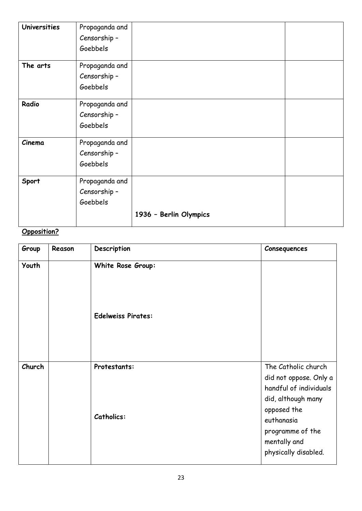| <b>Universities</b> | Propaganda and |                        |  |
|---------------------|----------------|------------------------|--|
|                     | Censorship-    |                        |  |
|                     | Goebbels       |                        |  |
| The arts            | Propaganda and |                        |  |
|                     | Censorship-    |                        |  |
|                     | Goebbels       |                        |  |
| Radio               | Propaganda and |                        |  |
|                     | Censorship-    |                        |  |
|                     | Goebbels       |                        |  |
| Cinema              | Propaganda and |                        |  |
|                     | Censorship-    |                        |  |
|                     | Goebbels       |                        |  |
| Sport               | Propaganda and |                        |  |
|                     | Censorship-    |                        |  |
|                     | Goebbels       |                        |  |
|                     |                | 1936 - Berlin Olympics |  |

# **Opposition?**

| Group  | Reason | Description                       | Consequences                                                                                                                                                                           |
|--------|--------|-----------------------------------|----------------------------------------------------------------------------------------------------------------------------------------------------------------------------------------|
| Youth  |        | White Rose Group:                 |                                                                                                                                                                                        |
|        |        | <b>Edelweiss Pirates:</b>         |                                                                                                                                                                                        |
| Church |        | Protestants:<br><b>Catholics:</b> | The Catholic church<br>did not oppose. Only a<br>handful of individuals<br>did, although many<br>opposed the<br>euthanasia<br>programme of the<br>mentally and<br>physically disabled. |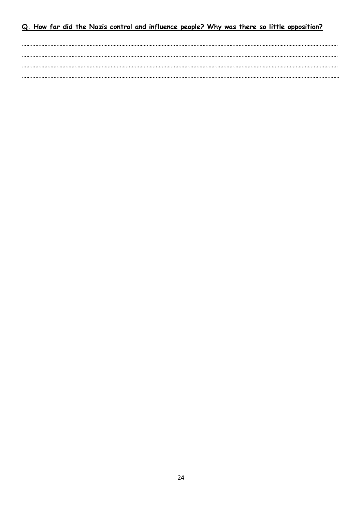# Q. How far did the Nazis control and influence people? Why was there so little opposition?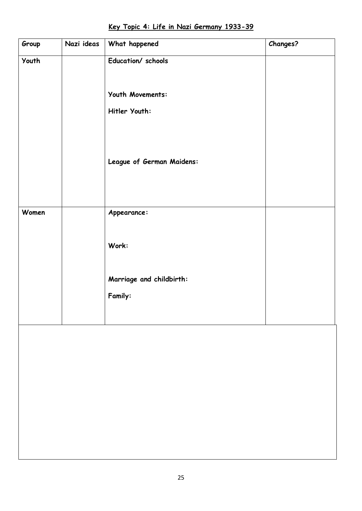| <u>Key Topic 4: Life in Nazi Germany 1933-39</u> |
|--------------------------------------------------|
|--------------------------------------------------|

| Group | Nazi ideas | What happened             | Changes? |
|-------|------------|---------------------------|----------|
| Youth |            | Education/ schools        |          |
|       |            | Youth Movements:          |          |
|       |            | Hitler Youth:             |          |
|       |            |                           |          |
|       |            | League of German Maidens: |          |
|       |            |                           |          |
|       |            |                           |          |
| Women |            | Appearance:               |          |
|       |            | Work:                     |          |
|       |            | Marriage and childbirth:  |          |
|       |            | Family:                   |          |
|       |            |                           |          |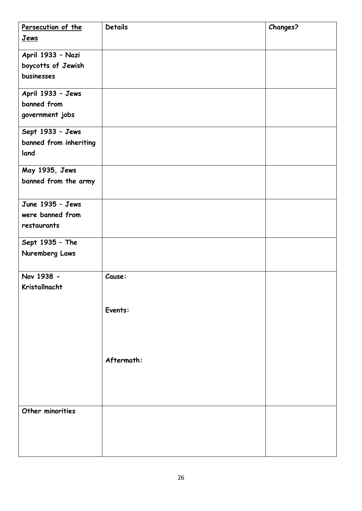| Persecution of the     | <b>Details</b> | <b>Changes?</b> |
|------------------------|----------------|-----------------|
| Jews                   |                |                 |
| April 1933 - Nazi      |                |                 |
| boycotts of Jewish     |                |                 |
| businesses             |                |                 |
| April 1933 - Jews      |                |                 |
| banned from            |                |                 |
|                        |                |                 |
| government jobs        |                |                 |
| Sept 1933 - Jews       |                |                 |
| banned from inheriting |                |                 |
| land                   |                |                 |
| May 1935, Jews         |                |                 |
| banned from the army   |                |                 |
|                        |                |                 |
| June 1935 - Jews       |                |                 |
| were banned from       |                |                 |
| restaurants            |                |                 |
| Sept 1935 - The        |                |                 |
| Nuremberg Laws         |                |                 |
|                        |                |                 |
| Nov 1938 -             | Cause:         |                 |
| Kristallnacht          |                |                 |
|                        |                |                 |
|                        | Events:        |                 |
|                        |                |                 |
|                        |                |                 |
|                        |                |                 |
|                        | Aftermath:     |                 |
|                        |                |                 |
|                        |                |                 |
|                        |                |                 |
|                        |                |                 |
| Other minorities       |                |                 |
|                        |                |                 |
|                        |                |                 |
|                        |                |                 |
|                        |                |                 |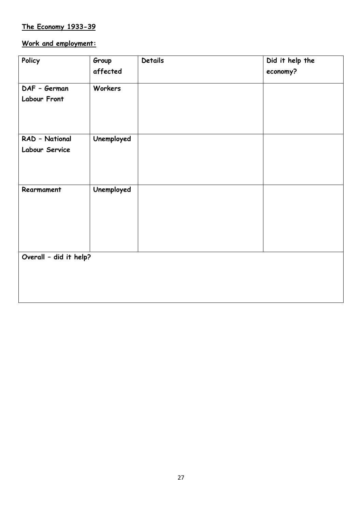# **The Economy 1933-39**

# **Work and employment:**

| Policy                 | Group      | <b>Details</b> | Did it help the |
|------------------------|------------|----------------|-----------------|
|                        | affected   |                | economy?        |
| DAF - German           | Workers    |                |                 |
| <b>Labour Front</b>    |            |                |                 |
| RAD - National         | Unemployed |                |                 |
| Labour Service         |            |                |                 |
| Rearmament             | Unemployed |                |                 |
| Overall - did it help? |            |                |                 |